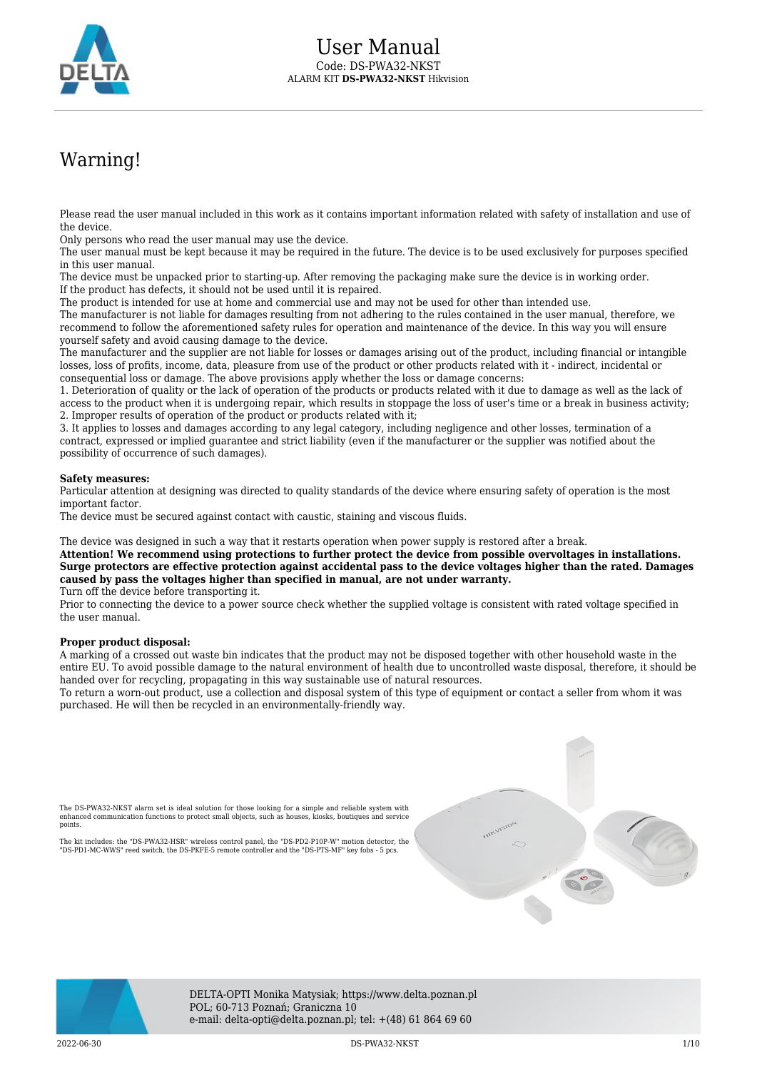

# Warning!

Please read the user manual included in this work as it contains important information related with safety of installation and use of the device.

Only persons who read the user manual may use the device.

The user manual must be kept because it may be required in the future. The device is to be used exclusively for purposes specified in this user manual.

The device must be unpacked prior to starting-up. After removing the packaging make sure the device is in working order. If the product has defects, it should not be used until it is repaired.

The product is intended for use at home and commercial use and may not be used for other than intended use.

The manufacturer is not liable for damages resulting from not adhering to the rules contained in the user manual, therefore, we recommend to follow the aforementioned safety rules for operation and maintenance of the device. In this way you will ensure yourself safety and avoid causing damage to the device.

The manufacturer and the supplier are not liable for losses or damages arising out of the product, including financial or intangible losses, loss of profits, income, data, pleasure from use of the product or other products related with it - indirect, incidental or consequential loss or damage. The above provisions apply whether the loss or damage concerns:

1. Deterioration of quality or the lack of operation of the products or products related with it due to damage as well as the lack of access to the product when it is undergoing repair, which results in stoppage the loss of user's time or a break in business activity; 2. Improper results of operation of the product or products related with it;

3. It applies to losses and damages according to any legal category, including negligence and other losses, termination of a contract, expressed or implied guarantee and strict liability (even if the manufacturer or the supplier was notified about the possibility of occurrence of such damages).

#### **Safety measures:**

Particular attention at designing was directed to quality standards of the device where ensuring safety of operation is the most important factor.

The device must be secured against contact with caustic, staining and viscous fluids.

The device was designed in such a way that it restarts operation when power supply is restored after a break.

**Attention! We recommend using protections to further protect the device from possible overvoltages in installations. Surge protectors are effective protection against accidental pass to the device voltages higher than the rated. Damages caused by pass the voltages higher than specified in manual, are not under warranty.** Turn off the device before transporting it.

Prior to connecting the device to a power source check whether the supplied voltage is consistent with rated voltage specified in the user manual.

#### **Proper product disposal:**

A marking of a crossed out waste bin indicates that the product may not be disposed together with other household waste in the entire EU. To avoid possible damage to the natural environment of health due to uncontrolled waste disposal, therefore, it should be handed over for recycling, propagating in this way sustainable use of natural resources.

To return a worn-out product, use a collection and disposal system of this type of equipment or contact a seller from whom it was purchased. He will then be recycled in an environmentally-friendly way.

The DS-PWA32-NKST alarm set is ideal solution for those looking for a simple and reliable system with enhanced communication functions to protect small objects, such as houses, kiosks, boutiques and service points.

The kit includes: the "DS-PWA32-HSR" wireless control panel, the "DS-PD2-P10P-W" motion detector, the "DS-PD1-MC-WWS" reed switch, the DS-PKFE-5 remote controller and the "DS-PTS-MF" key fobs - 5 pcs.





DELTA-OPTI Monika Matysiak; https://www.delta.poznan.pl POL; 60-713 Poznań; Graniczna 10 e-mail: delta-opti@delta.poznan.pl; tel: +(48) 61 864 69 60

2022-06-30 DS-PWA32-NKST 1/10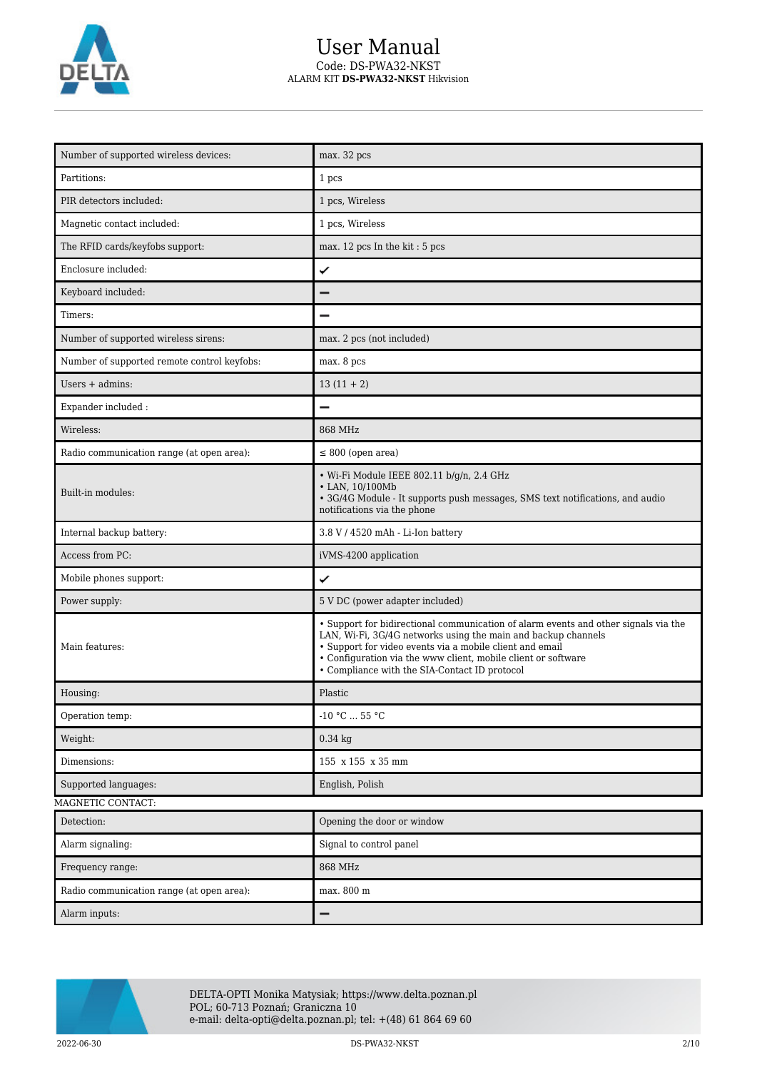

# User Manual Code: DS-PWA32-NKST ALARM KIT **DS-PWA32-NKST** Hikvision

| Number of supported wireless devices:       | max. 32 pcs                                                                                                                                                                                                                                                                                                                        |
|---------------------------------------------|------------------------------------------------------------------------------------------------------------------------------------------------------------------------------------------------------------------------------------------------------------------------------------------------------------------------------------|
| Partitions:                                 | 1 pcs                                                                                                                                                                                                                                                                                                                              |
| PIR detectors included:                     | 1 pcs, Wireless                                                                                                                                                                                                                                                                                                                    |
| Magnetic contact included:                  | 1 pcs, Wireless                                                                                                                                                                                                                                                                                                                    |
| The RFID cards/keyfobs support:             | max. 12 pcs In the kit: 5 pcs                                                                                                                                                                                                                                                                                                      |
| Enclosure included:                         | ✓                                                                                                                                                                                                                                                                                                                                  |
| Keyboard included:                          |                                                                                                                                                                                                                                                                                                                                    |
| Timers:                                     |                                                                                                                                                                                                                                                                                                                                    |
| Number of supported wireless sirens:        | max. 2 pcs (not included)                                                                                                                                                                                                                                                                                                          |
| Number of supported remote control keyfobs: | max. 8 pcs                                                                                                                                                                                                                                                                                                                         |
| Users $+$ admins:                           | $13(11 + 2)$                                                                                                                                                                                                                                                                                                                       |
| Expander included:                          |                                                                                                                                                                                                                                                                                                                                    |
| Wireless:                                   | 868 MHz                                                                                                                                                                                                                                                                                                                            |
| Radio communication range (at open area):   | $\leq 800$ (open area)                                                                                                                                                                                                                                                                                                             |
| Built-in modules:                           | · Wi-Fi Module IEEE 802.11 b/g/n, 2.4 GHz<br>• LAN, 10/100Mb<br>• 3G/4G Module - It supports push messages, SMS text notifications, and audio<br>notifications via the phone                                                                                                                                                       |
| Internal backup battery:                    | 3.8 V / 4520 mAh - Li-Ion battery                                                                                                                                                                                                                                                                                                  |
| Access from PC:                             | iVMS-4200 application                                                                                                                                                                                                                                                                                                              |
| Mobile phones support:                      | ✓                                                                                                                                                                                                                                                                                                                                  |
| Power supply:                               | 5 V DC (power adapter included)                                                                                                                                                                                                                                                                                                    |
| Main features:                              | • Support for bidirectional communication of alarm events and other signals via the<br>LAN, Wi-Fi, 3G/4G networks using the main and backup channels<br>· Support for video events via a mobile client and email<br>• Configuration via the www client, mobile client or software<br>• Compliance with the SIA-Contact ID protocol |
| Housing:                                    | Plastic                                                                                                                                                                                                                                                                                                                            |
| Operation temp:                             | -10 °C $\ldots$ 55 °C                                                                                                                                                                                                                                                                                                              |
| Weight:                                     | $0.34$ kg                                                                                                                                                                                                                                                                                                                          |
| Dimensions:                                 | 155 x 155 x 35 mm                                                                                                                                                                                                                                                                                                                  |
| Supported languages:                        | English, Polish                                                                                                                                                                                                                                                                                                                    |
| MAGNETIC CONTACT:                           |                                                                                                                                                                                                                                                                                                                                    |
| Detection:                                  | Opening the door or window                                                                                                                                                                                                                                                                                                         |
| Alarm signaling:                            | Signal to control panel                                                                                                                                                                                                                                                                                                            |
| Frequency range:                            | 868 MHz                                                                                                                                                                                                                                                                                                                            |
| Radio communication range (at open area):   | max. 800 m                                                                                                                                                                                                                                                                                                                         |
| Alarm inputs:                               | -                                                                                                                                                                                                                                                                                                                                  |



DELTA-OPTI Monika Matysiak; https://www.delta.poznan.pl POL; 60-713 Poznań; Graniczna 10 e-mail: delta-opti@delta.poznan.pl; tel: +(48) 61 864 69 60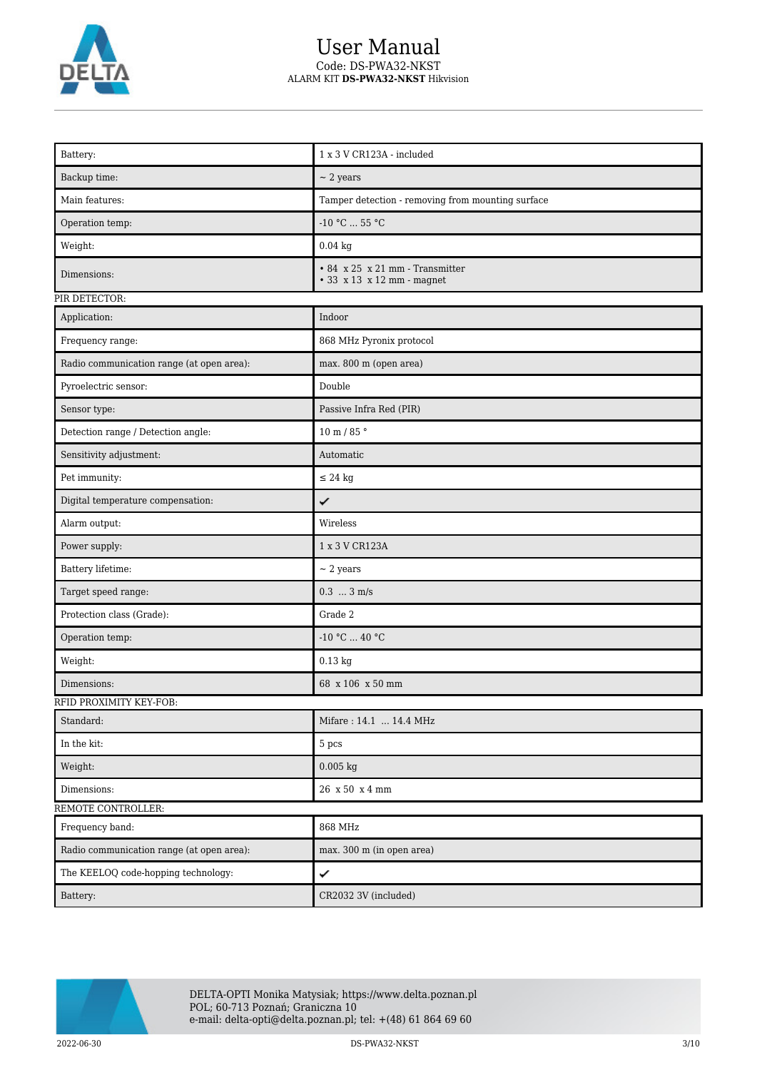

# User Manual Code: DS-PWA32-NKST ALARM KIT **DS-PWA32-NKST** Hikvision

| Battery:                                  | 1 x 3 V CR123A - included                                     |
|-------------------------------------------|---------------------------------------------------------------|
| Backup time:                              | $\sim$ 2 years                                                |
| Main features:                            | Tamper detection - removing from mounting surface             |
| Operation temp:                           | $-10$ °C $\ldots$ 55 °C                                       |
| Weight:                                   | $0.04$ kg                                                     |
| Dimensions:                               | • 84 x 25 x 21 mm - Transmitter<br>• 33 x 13 x 12 mm - magnet |
| PIR DETECTOR:                             |                                                               |
| Application:                              | Indoor                                                        |
| Frequency range:                          | 868 MHz Pyronix protocol                                      |
| Radio communication range (at open area): | max. 800 m (open area)                                        |
| Pyroelectric sensor:                      | Double                                                        |
| Sensor type:                              | Passive Infra Red (PIR)                                       |
| Detection range / Detection angle:        | $10$ m / 85 $^{\circ}$                                        |
| Sensitivity adjustment:                   | Automatic                                                     |
| Pet immunity:                             | $\leq$ 24 kg                                                  |
| Digital temperature compensation:         | ✓                                                             |
| Alarm output:                             | Wireless                                                      |
| Power supply:                             | 1 x 3 V CR123A                                                |
| Battery lifetime:                         | $\sim$ 2 years                                                |
| Target speed range:                       | $0.3 \ldots 3 \text{ m/s}$                                    |
| Protection class (Grade):                 | Grade 2                                                       |
| Operation temp:                           | -10 °C $\ldots$ 40 °C                                         |
| Weight:                                   | $0.13$ kg                                                     |
| Dimensions:                               | 68 x 106 x 50 mm                                              |
| RFID PROXIMITY KEY-FOB:                   |                                                               |
| Standard:                                 | Mifare: 14.1  14.4 MHz                                        |
| In the kit: $\,$                          | 5 pcs                                                         |
| Weight:                                   | $0.005$ kg                                                    |
| Dimensions:                               | 26 x 50 x 4 mm                                                |
| REMOTE CONTROLLER:                        |                                                               |
| Frequency band:                           | 868 MHz                                                       |
| Radio communication range (at open area): | max. 300 m (in open area)                                     |
| The KEELOQ code-hopping technology:       | ✓                                                             |
| Battery:                                  | CR2032 3V (included)                                          |



DELTA-OPTI Monika Matysiak; https://www.delta.poznan.pl POL; 60-713 Poznań; Graniczna 10 e-mail: delta-opti@delta.poznan.pl; tel: +(48) 61 864 69 60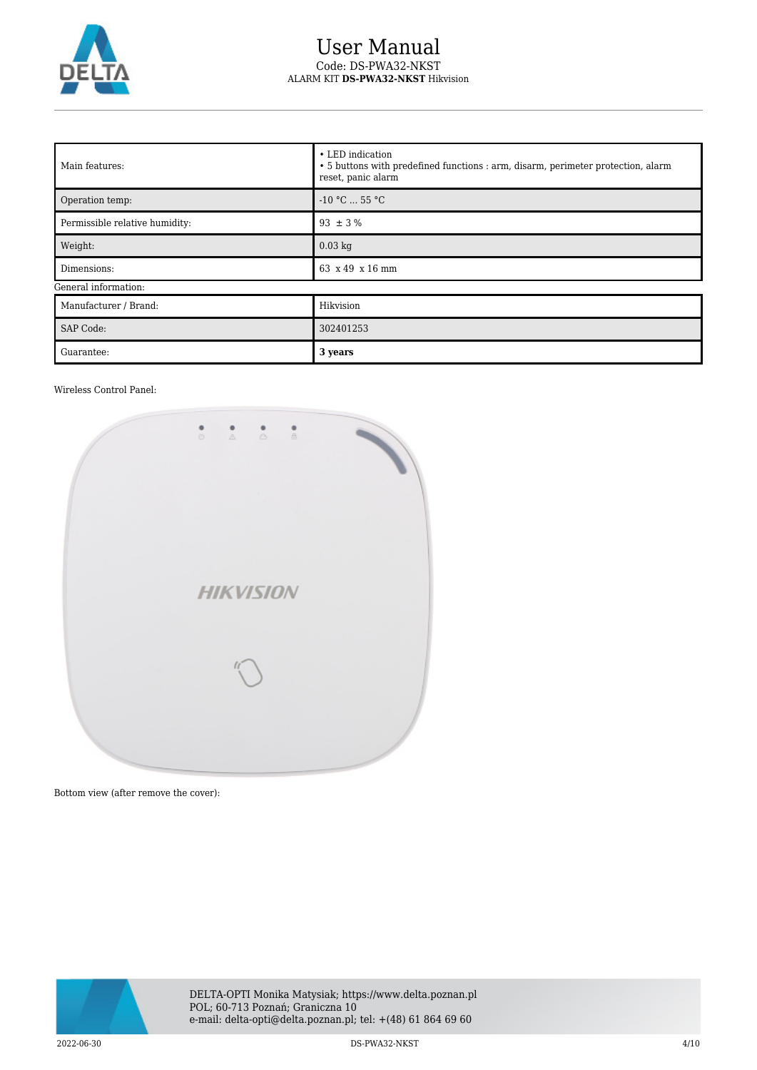

## User Manual Code: DS-PWA32-NKST ALARM KIT **DS-PWA32-NKST** Hikvision

| Main features:                 | • LED indication<br>• 5 buttons with predefined functions : arm, disarm, perimeter protection, alarm<br>reset, panic alarm |  |
|--------------------------------|----------------------------------------------------------------------------------------------------------------------------|--|
| Operation temp:                | $-10 °C$ 55 °C                                                                                                             |  |
| Permissible relative humidity: | $93 \pm 3 \%$                                                                                                              |  |
| Weight:                        | $0.03$ kg                                                                                                                  |  |
| Dimensions:                    | 63 x 49 x 16 mm                                                                                                            |  |
| General information:           |                                                                                                                            |  |
| Manufacturer / Brand:          | Hikvision                                                                                                                  |  |
| <b>SAP Code:</b>               | 302401253                                                                                                                  |  |
| Guarantee:                     | 3 years                                                                                                                    |  |

### Wireless Control Panel:



Bottom view (after remove the cover):



2022-06-30 DS-PWA32-NKST 4/10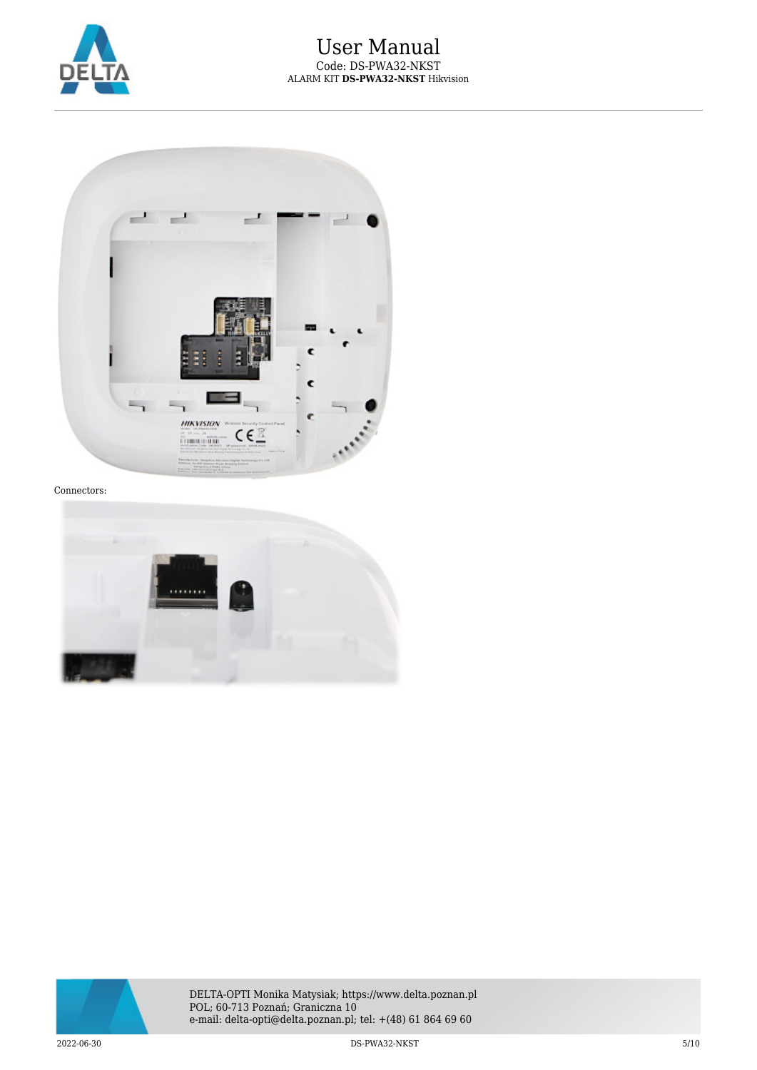



### Connectors:



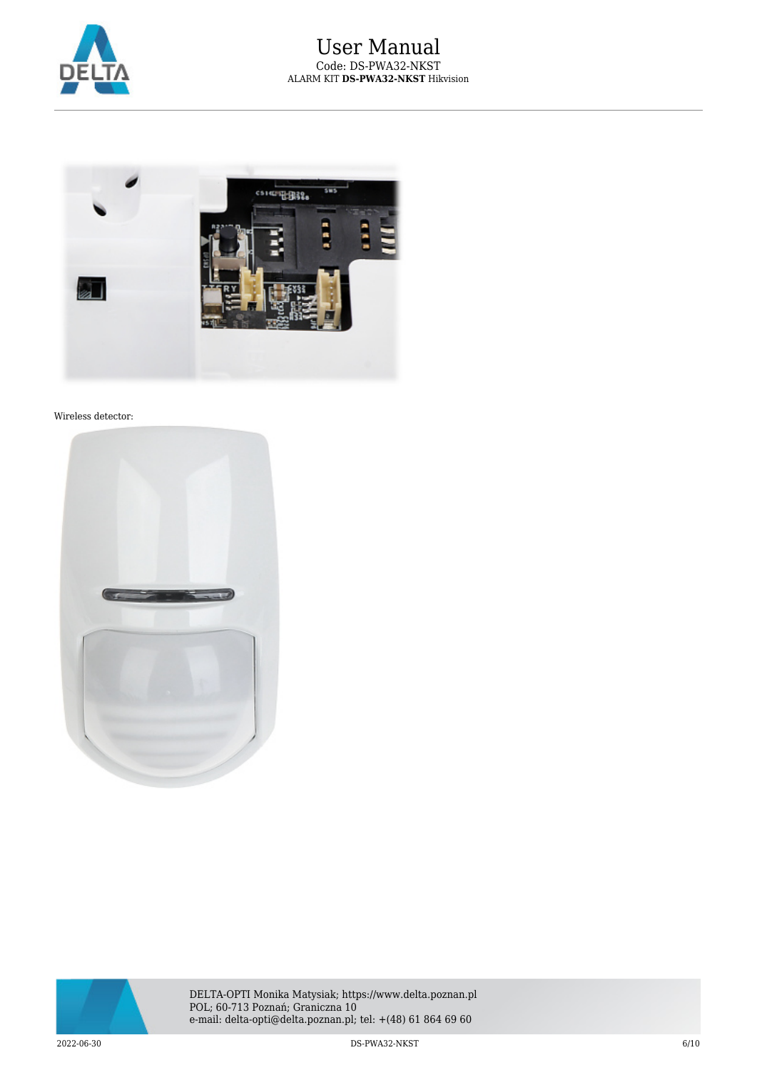



#### Wireless detector:



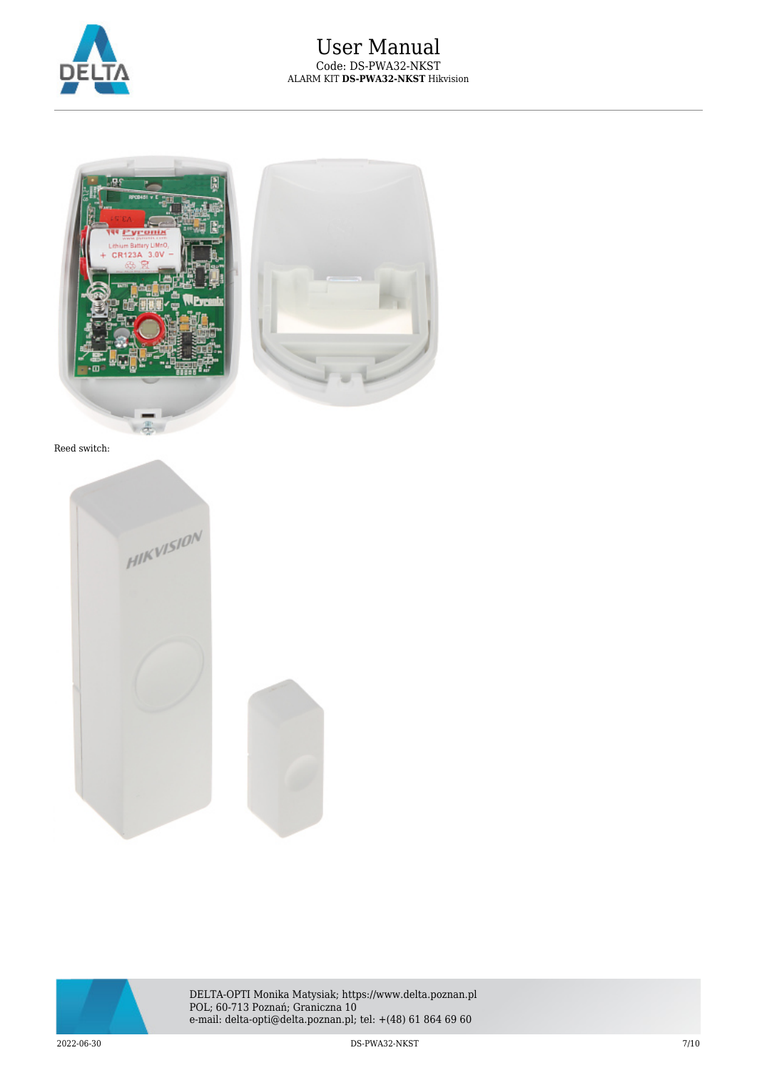



Reed switch:





DELTA-OPTI Monika Matysiak; https://www.delta.poznan.pl POL; 60-713 Poznań; Graniczna 10 e-mail: delta-opti@delta.poznan.pl; tel: +(48) 61 864 69 60

2022-06-30 DS-PWA32-NKST 7/10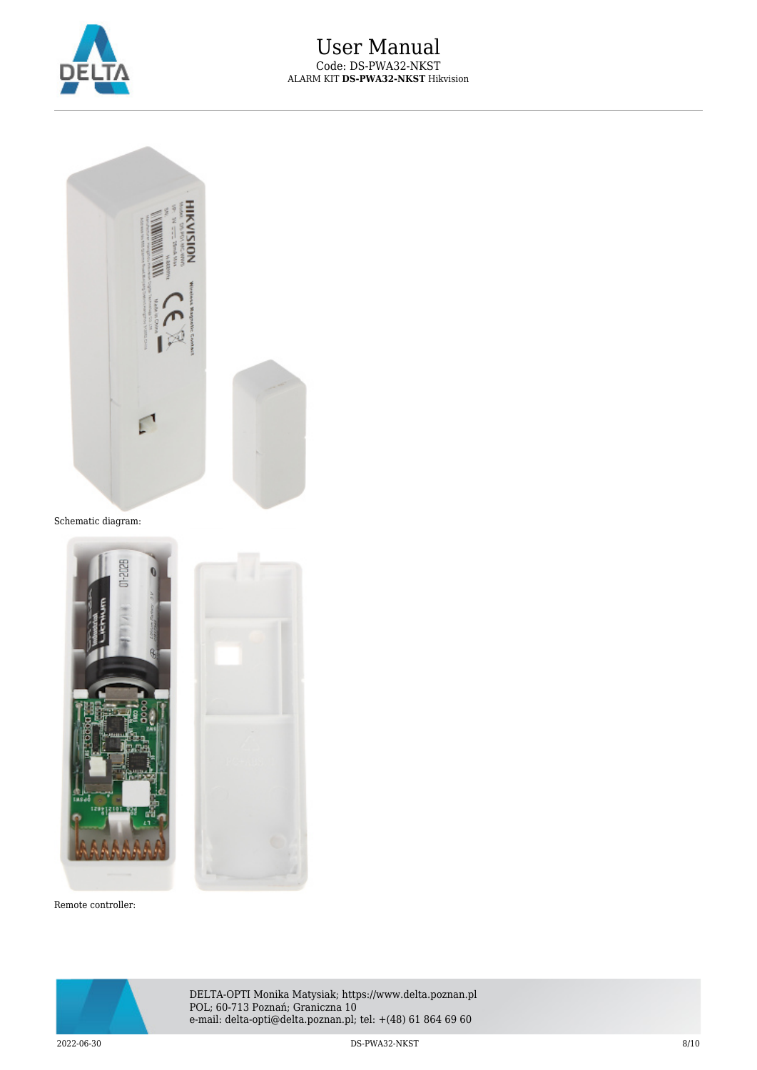



Schematic diagram:



Remote controller:



DELTA-OPTI Monika Matysiak; https://www.delta.poznan.pl POL; 60-713 Poznań; Graniczna 10 e-mail: delta-opti@delta.poznan.pl; tel: +(48) 61 864 69 60

2022-06-30 DS-PWA32-NKST 8/10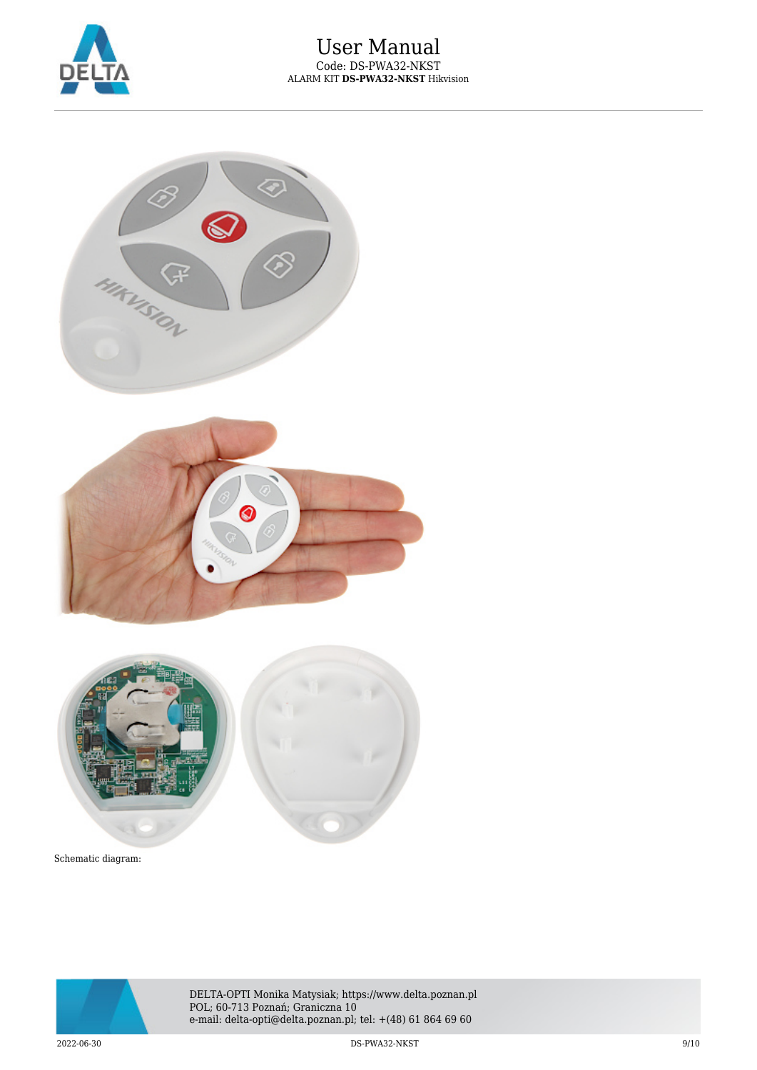



Schematic diagram:



DELTA-OPTI Monika Matysiak; https://www.delta.poznan.pl POL; 60-713 Poznań; Graniczna 10 e-mail: delta-opti@delta.poznan.pl; tel: +(48) 61 864 69 60

2022-06-30 DS-PWA32-NKST 9/10